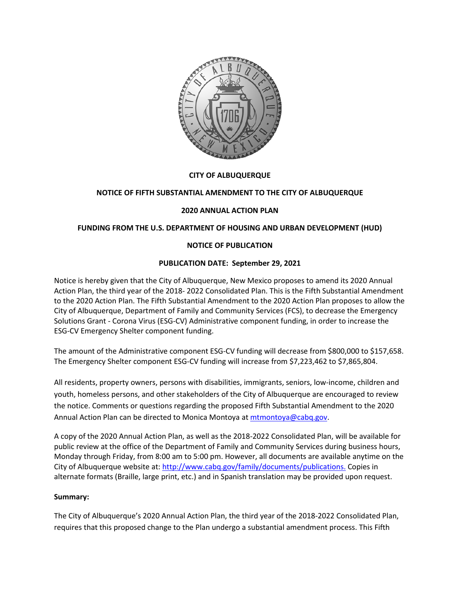

## **CITY OF ALBUQUERQUE**

### **NOTICE OF FIFTH SUBSTANTIAL AMENDMENT TO THE CITY OF ALBUQUERQUE**

### **2020 ANNUAL ACTION PLAN**

### **FUNDING FROM THE U.S. DEPARTMENT OF HOUSING AND URBAN DEVELOPMENT (HUD)**

## **NOTICE OF PUBLICATION**

### **PUBLICATION DATE: September 29, 2021**

Notice is hereby given that the City of Albuquerque, New Mexico proposes to amend its 2020 Annual Action Plan, the third year of the 2018- 2022 Consolidated Plan. This is the Fifth Substantial Amendment to the 2020 Action Plan. The Fifth Substantial Amendment to the 2020 Action Plan proposes to allow the City of Albuquerque, Department of Family and Community Services (FCS), to decrease the Emergency Solutions Grant - Corona Virus (ESG-CV) Administrative component funding, in order to increase the ESG-CV Emergency Shelter component funding.

The amount of the Administrative component ESG-CV funding will decrease from \$800,000 to \$157,658. The Emergency Shelter component ESG-CV funding will increase from \$7,223,462 to \$7,865,804.

All residents, property owners, persons with disabilities, immigrants, seniors, low-income, children and youth, homeless persons, and other stakeholders of the City of Albuquerque are encouraged to review the notice. Comments or questions regarding the proposed Fifth Substantial Amendment to the 2020 Annual Action Plan can be directed to Monica Montoya at [mtmontoya@cabq.gov.](mailto:mtmontoya@cabq.gov)

A copy of the 2020 Annual Action Plan, as well as the 2018-2022 Consolidated Plan, will be available for public review at the office of the Department of Family and Community Services during business hours, Monday through Friday, from 8:00 am to 5:00 pm. However, all documents are available anytime on the City of Albuquerque website at: [http://www.cabq.gov/family/documents/publications.](http://www.cabq.gov/family/documents/publications) Copies in alternate formats (Braille, large print, etc.) and in Spanish translation may be provided upon request.

### **Summary:**

The City of Albuquerque's 2020 Annual Action Plan, the third year of the 2018-2022 Consolidated Plan, requires that this proposed change to the Plan undergo a substantial amendment process. This Fifth